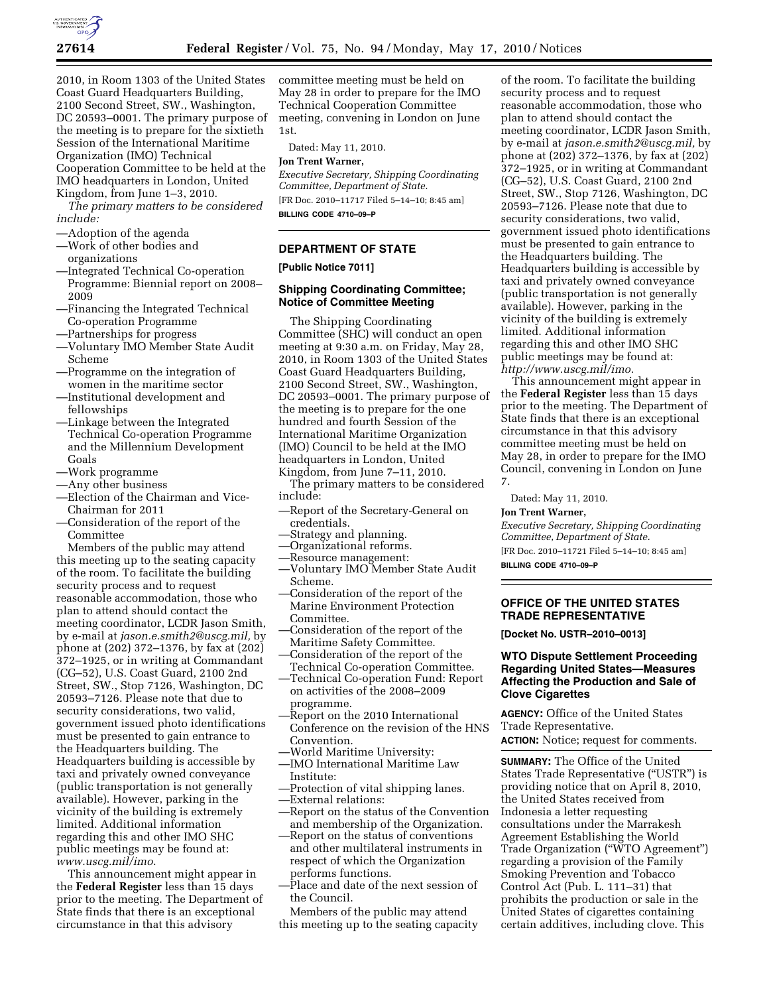

2010, in Room 1303 of the United States Coast Guard Headquarters Building, 2100 Second Street, SW., Washington, DC 20593–0001. The primary purpose of the meeting is to prepare for the sixtieth Session of the International Maritime Organization (IMO) Technical Cooperation Committee to be held at the IMO headquarters in London, United Kingdom, from June 1–3, 2010.

*The primary matters to be considered include:* 

- —Adoption of the agenda
- —Work of other bodies and organizations
- —Integrated Technical Co-operation Programme: Biennial report on 2008– 2009
- —Financing the Integrated Technical Co-operation Programme
- —Partnerships for progress
- —Voluntary IMO Member State Audit Scheme
- —Programme on the integration of women in the maritime sector
- —Institutional development and fellowships
- —Linkage between the Integrated Technical Co-operation Programme and the Millennium Development Goals
- —Work programme
- —Any other business
- —Election of the Chairman and Vice-Chairman for 2011
- —Consideration of the report of the Committee

Members of the public may attend this meeting up to the seating capacity of the room. To facilitate the building security process and to request reasonable accommodation, those who plan to attend should contact the meeting coordinator, LCDR Jason Smith, by e-mail at *jason.e.smith2@uscg.mil,* by phone at (202) 372–1376, by fax at (202) 372–1925, or in writing at Commandant (CG–52), U.S. Coast Guard, 2100 2nd Street, SW., Stop 7126, Washington, DC 20593–7126. Please note that due to security considerations, two valid, government issued photo identifications must be presented to gain entrance to the Headquarters building. The Headquarters building is accessible by taxi and privately owned conveyance (public transportation is not generally available). However, parking in the vicinity of the building is extremely limited. Additional information regarding this and other IMO SHC public meetings may be found at: *www.uscg.mil/imo*.

This announcement might appear in the **Federal Register** less than 15 days prior to the meeting. The Department of State finds that there is an exceptional circumstance in that this advisory

committee meeting must be held on May 28 in order to prepare for the IMO Technical Cooperation Committee meeting, convening in London on June 1st.

Dated: May 11, 2010.

#### **Jon Trent Warner,**

*Executive Secretary, Shipping Coordinating Committee, Department of State.* 

[FR Doc. 2010–11717 Filed 5–14–10; 8:45 am] **BILLING CODE 4710–09–P** 

## **DEPARTMENT OF STATE**

#### **[Public Notice 7011]**

## **Shipping Coordinating Committee; Notice of Committee Meeting**

The Shipping Coordinating Committee (SHC) will conduct an open meeting at 9:30 a.m. on Friday, May 28, 2010, in Room 1303 of the United States Coast Guard Headquarters Building, 2100 Second Street, SW., Washington, DC 20593–0001. The primary purpose of the meeting is to prepare for the one hundred and fourth Session of the International Maritime Organization (IMO) Council to be held at the IMO headquarters in London, United Kingdom, from June 7–11, 2010.

The primary matters to be considered include:

- —Report of the Secretary-General on credentials.
- —Strategy and planning.
- —Organizational reforms.
- —Resource management:
- —Voluntary IMO Member State Audit Scheme.
- —Consideration of the report of the Marine Environment Protection Committee.
- —Consideration of the report of the Maritime Safety Committee.
- —Consideration of the report of the Technical Co-operation Committee.
- —Technical Co-operation Fund: Report on activities of the 2008–2009 programme.
- —Report on the 2010 International Conference on the revision of the HNS Convention.
- —World Maritime University:
- —IMO International Maritime Law Institute:
- —Protection of vital shipping lanes.
- —External relations:
- —Report on the status of the Convention and membership of the Organization.
- —Report on the status of conventions and other multilateral instruments in respect of which the Organization performs functions.
- —Place and date of the next session of the Council.
- Members of the public may attend this meeting up to the seating capacity

of the room. To facilitate the building security process and to request reasonable accommodation, those who plan to attend should contact the meeting coordinator, LCDR Jason Smith, by e-mail at *jason.e.smith2@uscg.mil,* by phone at (202) 372–1376, by fax at (202) 372–1925, or in writing at Commandant (CG–52), U.S. Coast Guard, 2100 2nd Street, SW., Stop 7126, Washington, DC 20593–7126. Please note that due to security considerations, two valid, government issued photo identifications must be presented to gain entrance to the Headquarters building. The Headquarters building is accessible by taxi and privately owned conveyance (public transportation is not generally available). However, parking in the vicinity of the building is extremely limited. Additional information regarding this and other IMO SHC public meetings may be found at: *http://www.uscg.mil/imo.* 

This announcement might appear in the **Federal Register** less than 15 days prior to the meeting. The Department of State finds that there is an exceptional circumstance in that this advisory committee meeting must be held on May 28, in order to prepare for the IMO Council, convening in London on June 7.

Dated: May 11, 2010.

#### **Jon Trent Warner,**

*Executive Secretary, Shipping Coordinating Committee, Department of State.*  [FR Doc. 2010–11721 Filed 5–14–10; 8:45 am] **BILLING CODE 4710–09–P** 

## **OFFICE OF THE UNITED STATES TRADE REPRESENTATIVE**

**[Docket No. USTR–2010–0013]** 

## **WTO Dispute Settlement Proceeding Regarding United States—Measures Affecting the Production and Sale of Clove Cigarettes**

**AGENCY:** Office of the United States Trade Representative.

**ACTION:** Notice; request for comments.

**SUMMARY:** The Office of the United States Trade Representative (''USTR'') is providing notice that on April 8, 2010, the United States received from Indonesia a letter requesting consultations under the Marrakesh Agreement Establishing the World Trade Organization (''WTO Agreement'') regarding a provision of the Family Smoking Prevention and Tobacco Control Act (Pub. L. 111–31) that prohibits the production or sale in the United States of cigarettes containing certain additives, including clove. This